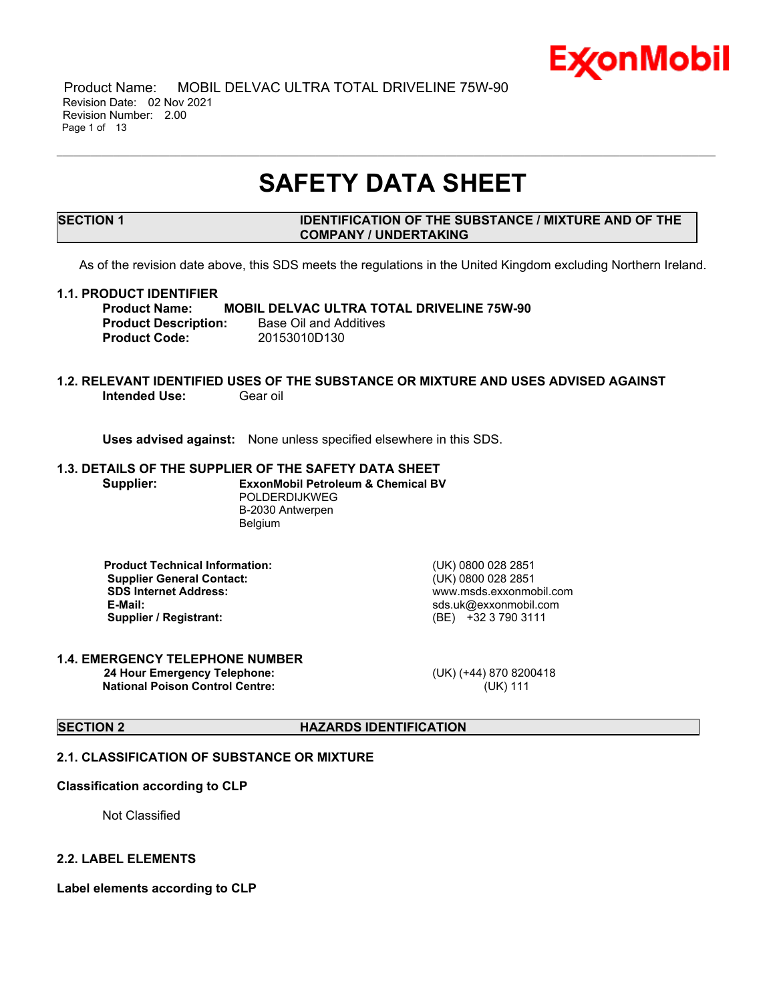

# **SAFETY DATA SHEET**

\_\_\_\_\_\_\_\_\_\_\_\_\_\_\_\_\_\_\_\_\_\_\_\_\_\_\_\_\_\_\_\_\_\_\_\_\_\_\_\_\_\_\_\_\_\_\_\_\_\_\_\_\_\_\_\_\_\_\_\_\_\_\_\_\_\_\_\_\_\_\_\_\_\_\_\_\_\_\_\_\_\_\_\_\_\_\_\_\_\_\_\_\_\_\_\_\_\_\_\_\_\_\_\_\_\_\_\_\_\_\_\_\_\_\_\_\_

#### **SECTION 1 IDENTIFICATION OF THE SUBSTANCE / MIXTURE AND OF THE COMPANY / UNDERTAKING**

As of the revision date above, this SDS meets the regulations in the United Kingdom excluding Northern Ireland.

#### **1.1. PRODUCT IDENTIFIER**

**Product Name: MOBIL DELVAC ULTRA TOTAL DRIVELINE 75W-90 Product Description:** Base Oil and Additives **Product Code:** 20153010D130

#### **1.2. RELEVANT IDENTIFIED USES OF THE SUBSTANCE OR MIXTURE AND USES ADVISED AGAINST Intended Use:** Gear oil

**Uses advised against:** None unless specified elsewhere in this SDS.

#### **1.3. DETAILS OF THE SUPPLIER OF THE SAFETY DATA SHEET Supplier: ExxonMobil Petroleum & Chemical BV**

POLDERDIJKWEG B-2030 Antwerpen

Belgium

**Product Technical Information:** (UK) 0800 028 2851 **Supplier General Contact:** (UK) 0800 028 2851 **SDS Internet Address:** www.msds.exxonmobil.com **Supplier / Registrant:** (BE) +32 3 790 3111

**E-Mail:** sds.uk@exxonmobil.com

#### **1.4. EMERGENCY TELEPHONE NUMBER 24 Hour Emergency Telephone:** (UK) (+44) 870 8200418 **National Poison Control Centre:** (UK) 111

# **SECTION 2 HAZARDS IDENTIFICATION**

# **2.1. CLASSIFICATION OF SUBSTANCE OR MIXTURE**

# **Classification according to CLP**

Not Classified

# **2.2. LABEL ELEMENTS**

**Label elements according to CLP**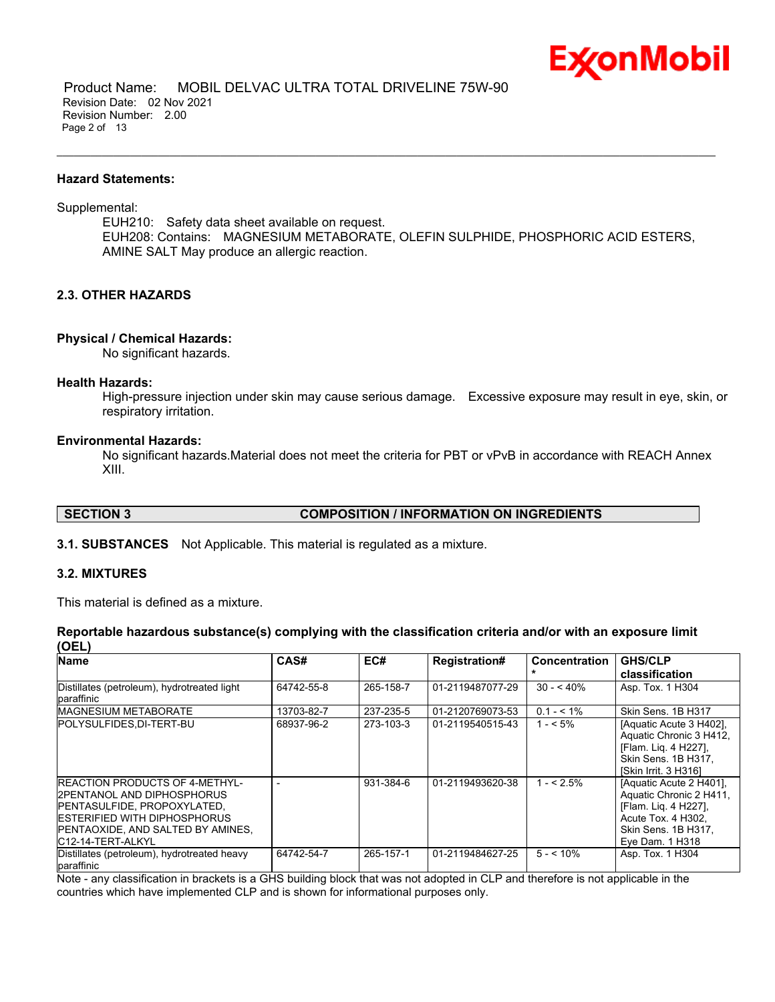

 Product Name: MOBIL DELVAC ULTRA TOTAL DRIVELINE 75W-90 Revision Date: 02 Nov 2021 Revision Number: 2.00 Page 2 of 13

#### **Hazard Statements:**

Supplemental:

EUH210: Safety data sheet available on request. EUH208: Contains: MAGNESIUM METABORATE, OLEFIN SULPHIDE, PHOSPHORIC ACID ESTERS, AMINE SALT May produce an allergic reaction.

\_\_\_\_\_\_\_\_\_\_\_\_\_\_\_\_\_\_\_\_\_\_\_\_\_\_\_\_\_\_\_\_\_\_\_\_\_\_\_\_\_\_\_\_\_\_\_\_\_\_\_\_\_\_\_\_\_\_\_\_\_\_\_\_\_\_\_\_\_\_\_\_\_\_\_\_\_\_\_\_\_\_\_\_\_\_\_\_\_\_\_\_\_\_\_\_\_\_\_\_\_\_\_\_\_\_\_\_\_\_\_\_\_\_\_\_\_

#### **2.3. OTHER HAZARDS**

# **Physical / Chemical Hazards:**

No significant hazards.

#### **Health Hazards:**

High-pressure injection under skin may cause serious damage. Excessive exposure may result in eye, skin, or respiratory irritation.

#### **Environmental Hazards:**

No significant hazards.Material does not meet the criteria for PBT or vPvB in accordance with REACH Annex XIII.

#### **SECTION 3 COMPOSITION / INFORMATION ON INGREDIENTS**

**3.1. SUBSTANCES** Not Applicable. This material is regulated as a mixture.

# **3.2. MIXTURES**

This material is defined as a mixture.

#### **Reportable hazardous substance(s) complying with the classification criteria and/or with an exposure limit (OEL)**

| <b>Name</b>                                                                                                                                                                                                             | CAS#       | EC#       | <b>Registration#</b> | Concentration | <b>GHS/CLP</b><br>classification                                                                                                           |
|-------------------------------------------------------------------------------------------------------------------------------------------------------------------------------------------------------------------------|------------|-----------|----------------------|---------------|--------------------------------------------------------------------------------------------------------------------------------------------|
| Distillates (petroleum), hydrotreated light<br>paraffinic                                                                                                                                                               | 64742-55-8 | 265-158-7 | 01-2119487077-29     | $30 - 40\%$   | Asp. Tox. 1 H304                                                                                                                           |
| <b>IMAGNESIUM METABORATE</b>                                                                                                                                                                                            | 13703-82-7 | 237-235-5 | 01-2120769073-53     | $0.1 - 5.1\%$ | Skin Sens, 1B H317                                                                                                                         |
| <b>IPOLYSULFIDES.DI-TERT-BU</b>                                                                                                                                                                                         | 68937-96-2 | 273-103-3 | 01-2119540515-43     | $1 - 5\%$     | [Aquatic Acute 3 H402],<br>Aquatic Chronic 3 H412,<br>[Flam. Lig. 4 H227].<br>Skin Sens, 1B H317.<br>[Skin Irrit. 3 H316]                  |
| <b>IREACTION PRODUCTS OF 4-METHYL-</b><br>I2PENTANOL AND DIPHOSPHORUS<br><b>IPENTASULFIDE, PROPOXYLATED.</b><br><b>IESTERIFIED WITH DIPHOSPHORUS</b><br><b>IPENTAOXIDE. AND SALTED BY AMINES.</b><br>IC12-14-TERT-ALKYL |            | 931-384-6 | 01-2119493620-38     | $1 - 5\%$     | [Aquatic Acute 2 H401].<br>Aquatic Chronic 2 H411,<br>[Flam. Lig. 4 H227].<br>Acute Tox. 4 H302,<br>Skin Sens, 1B H317.<br>Eye Dam. 1 H318 |
| Distillates (petroleum), hydrotreated heavy<br>paraffinic                                                                                                                                                               | 64742-54-7 | 265-157-1 | 01-2119484627-25     | $5 - 10\%$    | Asp. Tox. 1 H304                                                                                                                           |

Note - any classification in brackets is a GHS building block that was not adopted in CLP and therefore is not applicable in the countries which have implemented CLP and is shown for informational purposes only.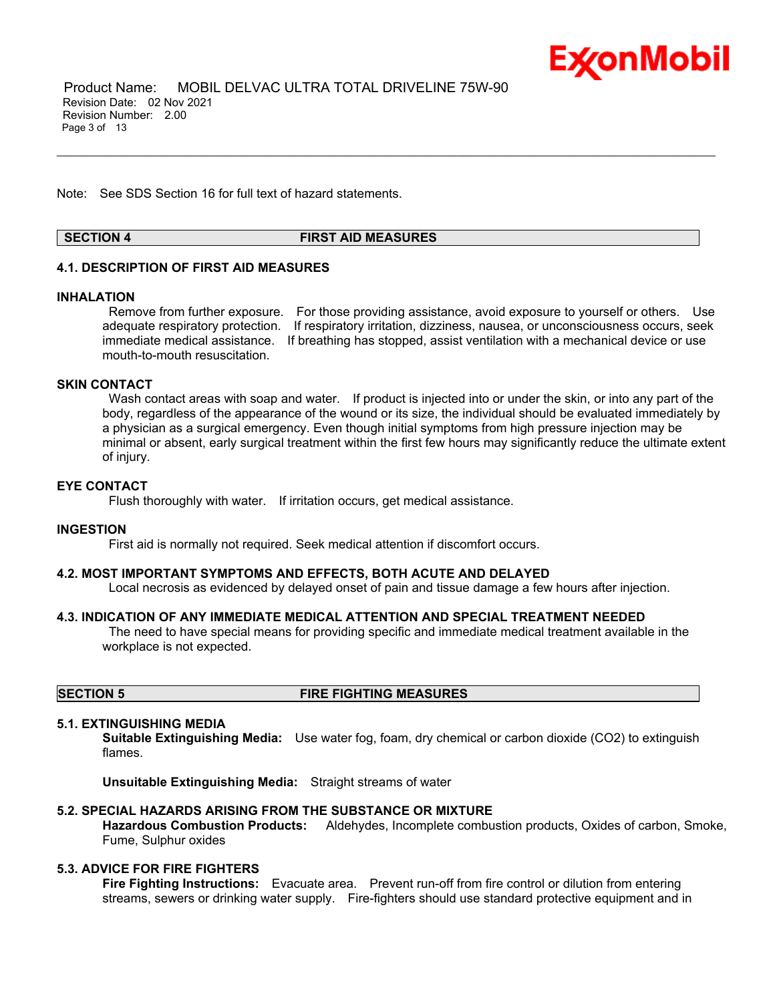

 Product Name: MOBIL DELVAC ULTRA TOTAL DRIVELINE 75W-90 Revision Date: 02 Nov 2021 Revision Number: 2.00 Page 3 of 13

Note: See SDS Section 16 for full text of hazard statements.

# **SECTION 4 FIRST AID MEASURES**

\_\_\_\_\_\_\_\_\_\_\_\_\_\_\_\_\_\_\_\_\_\_\_\_\_\_\_\_\_\_\_\_\_\_\_\_\_\_\_\_\_\_\_\_\_\_\_\_\_\_\_\_\_\_\_\_\_\_\_\_\_\_\_\_\_\_\_\_\_\_\_\_\_\_\_\_\_\_\_\_\_\_\_\_\_\_\_\_\_\_\_\_\_\_\_\_\_\_\_\_\_\_\_\_\_\_\_\_\_\_\_\_\_\_\_\_\_

# **4.1. DESCRIPTION OF FIRST AID MEASURES**

#### **INHALATION**

Remove from further exposure. For those providing assistance, avoid exposure to yourself or others. Use adequate respiratory protection. If respiratory irritation, dizziness, nausea, or unconsciousness occurs, seek immediate medical assistance. If breathing has stopped, assist ventilation with a mechanical device or use mouth-to-mouth resuscitation.

# **SKIN CONTACT**

Wash contact areas with soap and water. If product is injected into or under the skin, or into any part of the body, regardless of the appearance of the wound or its size, the individual should be evaluated immediately by a physician as a surgical emergency. Even though initial symptoms from high pressure injection may be minimal or absent, early surgical treatment within the first few hours may significantly reduce the ultimate extent of injury.

# **EYE CONTACT**

Flush thoroughly with water. If irritation occurs, get medical assistance.

#### **INGESTION**

First aid is normally not required. Seek medical attention if discomfort occurs.

# **4.2. MOST IMPORTANT SYMPTOMS AND EFFECTS, BOTH ACUTE AND DELAYED**

Local necrosis as evidenced by delayed onset of pain and tissue damage a few hours after injection.

# **4.3. INDICATION OF ANY IMMEDIATE MEDICAL ATTENTION AND SPECIAL TREATMENT NEEDED**

The need to have special means for providing specific and immediate medical treatment available in the workplace is not expected.

# **SECTION 5 FIRE FIGHTING MEASURES**

#### **5.1. EXTINGUISHING MEDIA**

**Suitable Extinguishing Media:** Use water fog, foam, dry chemical or carbon dioxide (CO2) to extinguish flames.

**Unsuitable Extinguishing Media:** Straight streams of water

# **5.2. SPECIAL HAZARDS ARISING FROM THE SUBSTANCE OR MIXTURE**

**Hazardous Combustion Products:** Aldehydes, Incomplete combustion products, Oxides of carbon, Smoke, Fume, Sulphur oxides

# **5.3. ADVICE FOR FIRE FIGHTERS**

**Fire Fighting Instructions:** Evacuate area. Prevent run-off from fire control or dilution from entering streams, sewers or drinking water supply. Fire-fighters should use standard protective equipment and in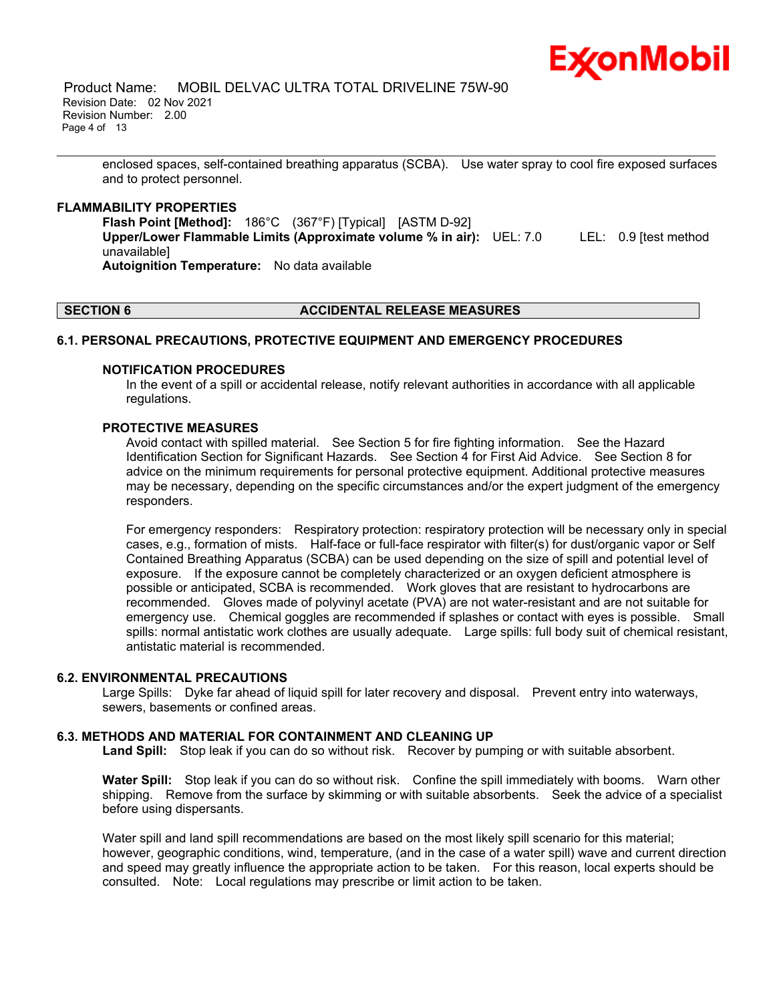

 Product Name: MOBIL DELVAC ULTRA TOTAL DRIVELINE 75W-90 Revision Date: 02 Nov 2021 Revision Number: 2.00 Page 4 of 13

enclosed spaces, self-contained breathing apparatus (SCBA). Use water spray to cool fire exposed surfaces and to protect personnel.

\_\_\_\_\_\_\_\_\_\_\_\_\_\_\_\_\_\_\_\_\_\_\_\_\_\_\_\_\_\_\_\_\_\_\_\_\_\_\_\_\_\_\_\_\_\_\_\_\_\_\_\_\_\_\_\_\_\_\_\_\_\_\_\_\_\_\_\_\_\_\_\_\_\_\_\_\_\_\_\_\_\_\_\_\_\_\_\_\_\_\_\_\_\_\_\_\_\_\_\_\_\_\_\_\_\_\_\_\_\_\_\_\_\_\_\_\_

# **FLAMMABILITY PROPERTIES**

**Flash Point [Method]:** 186°C (367°F) [Typical] [ASTM D-92] **Upper/Lower Flammable Limits (Approximate volume % in air):** UEL: 7.0 LEL: 0.9 [test method unavailable] **Autoignition Temperature:** No data available

# **SECTION 6 ACCIDENTAL RELEASE MEASURES**

#### **6.1. PERSONAL PRECAUTIONS, PROTECTIVE EQUIPMENT AND EMERGENCY PROCEDURES**

#### **NOTIFICATION PROCEDURES**

In the event of a spill or accidental release, notify relevant authorities in accordance with all applicable regulations.

# **PROTECTIVE MEASURES**

Avoid contact with spilled material. See Section 5 for fire fighting information. See the Hazard Identification Section for Significant Hazards. See Section 4 for First Aid Advice. See Section 8 for advice on the minimum requirements for personal protective equipment. Additional protective measures may be necessary, depending on the specific circumstances and/or the expert judgment of the emergency responders.

For emergency responders: Respiratory protection: respiratory protection will be necessary only in special cases, e.g., formation of mists. Half-face or full-face respirator with filter(s) for dust/organic vapor or Self Contained Breathing Apparatus (SCBA) can be used depending on the size of spill and potential level of exposure. If the exposure cannot be completely characterized or an oxygen deficient atmosphere is possible or anticipated, SCBA is recommended. Work gloves that are resistant to hydrocarbons are recommended. Gloves made of polyvinyl acetate (PVA) are not water-resistant and are not suitable for emergency use. Chemical goggles are recommended if splashes or contact with eyes is possible. Small spills: normal antistatic work clothes are usually adequate. Large spills: full body suit of chemical resistant, antistatic material is recommended.

#### **6.2. ENVIRONMENTAL PRECAUTIONS**

Large Spills: Dyke far ahead of liquid spill for later recovery and disposal. Prevent entry into waterways, sewers, basements or confined areas.

#### **6.3. METHODS AND MATERIAL FOR CONTAINMENT AND CLEANING UP**

**Land Spill:** Stop leak if you can do so without risk. Recover by pumping or with suitable absorbent.

**Water Spill:** Stop leak if you can do so without risk. Confine the spill immediately with booms. Warn other shipping. Remove from the surface by skimming or with suitable absorbents. Seek the advice of a specialist before using dispersants.

Water spill and land spill recommendations are based on the most likely spill scenario for this material; however, geographic conditions, wind, temperature, (and in the case of a water spill) wave and current direction and speed may greatly influence the appropriate action to be taken. For this reason, local experts should be consulted. Note: Local regulations may prescribe or limit action to be taken.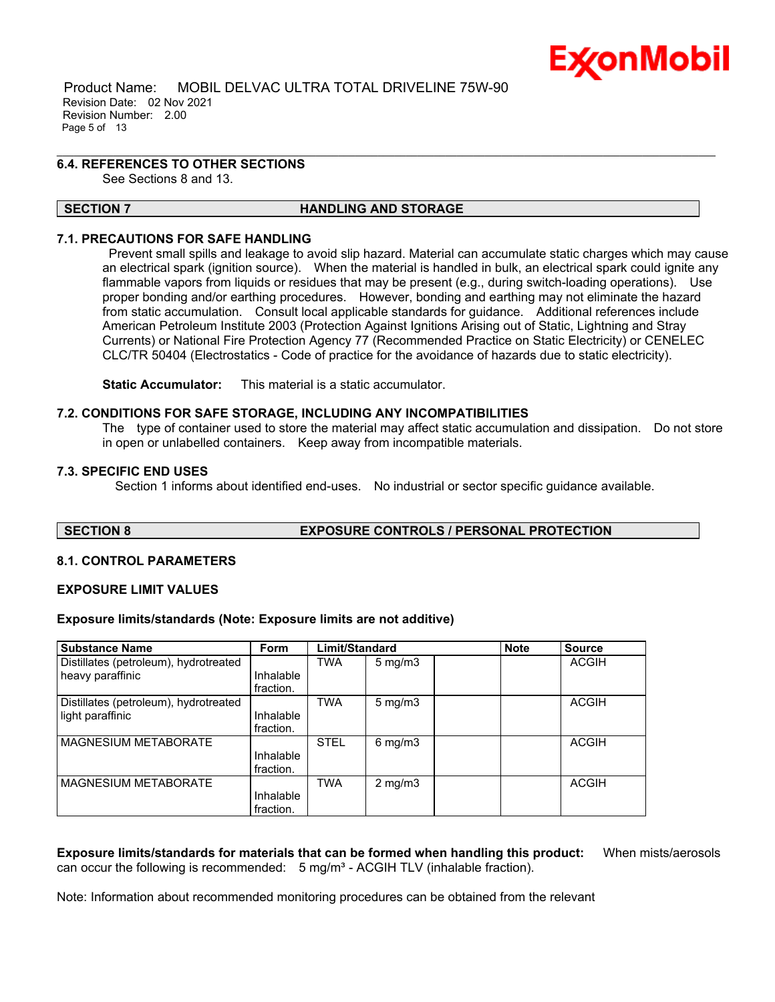

 Product Name: MOBIL DELVAC ULTRA TOTAL DRIVELINE 75W-90 Revision Date: 02 Nov 2021 Revision Number: 2.00 Page 5 of 13

# **6.4. REFERENCES TO OTHER SECTIONS**

See Sections 8 and 13.

# **SECTION 7 HANDLING AND STORAGE**

\_\_\_\_\_\_\_\_\_\_\_\_\_\_\_\_\_\_\_\_\_\_\_\_\_\_\_\_\_\_\_\_\_\_\_\_\_\_\_\_\_\_\_\_\_\_\_\_\_\_\_\_\_\_\_\_\_\_\_\_\_\_\_\_\_\_\_\_\_\_\_\_\_\_\_\_\_\_\_\_\_\_\_\_\_\_\_\_\_\_\_\_\_\_\_\_\_\_\_\_\_\_\_\_\_\_\_\_\_\_\_\_\_\_\_\_\_

# **7.1. PRECAUTIONS FOR SAFE HANDLING**

Prevent small spills and leakage to avoid slip hazard. Material can accumulate static charges which may cause an electrical spark (ignition source). When the material is handled in bulk, an electrical spark could ignite any flammable vapors from liquids or residues that may be present (e.g., during switch-loading operations). Use proper bonding and/or earthing procedures. However, bonding and earthing may not eliminate the hazard from static accumulation. Consult local applicable standards for guidance. Additional references include American Petroleum Institute 2003 (Protection Against Ignitions Arising out of Static, Lightning and Stray Currents) or National Fire Protection Agency 77 (Recommended Practice on Static Electricity) or CENELEC CLC/TR 50404 (Electrostatics - Code of practice for the avoidance of hazards due to static electricity).

**Static Accumulator:** This material is a static accumulator.

# **7.2. CONDITIONS FOR SAFE STORAGE, INCLUDING ANY INCOMPATIBILITIES**

The type of container used to store the material may affect static accumulation and dissipation. Do not store in open or unlabelled containers. Keep away from incompatible materials.

#### **7.3. SPECIFIC END USES**

Section 1 informs about identified end-uses. No industrial or sector specific guidance available.

# **SECTION 8 EXPOSURE CONTROLS / PERSONAL PROTECTION**

# **8.1. CONTROL PARAMETERS**

# **EXPOSURE LIMIT VALUES**

# **Exposure limits/standards (Note: Exposure limits are not additive)**

| <b>Substance Name</b>                 | <b>Form</b> | Limit/Standard |                  | <b>Note</b> | <b>Source</b> |
|---------------------------------------|-------------|----------------|------------------|-------------|---------------|
| Distillates (petroleum), hydrotreated |             | <b>TWA</b>     | $5 \text{ mg/m}$ |             | <b>ACGIH</b>  |
| heavy paraffinic                      | Inhalable   |                |                  |             |               |
|                                       | fraction.   |                |                  |             |               |
| Distillates (petroleum), hydrotreated |             | <b>TWA</b>     | $5 \text{ mg/m}$ |             | <b>ACGIH</b>  |
| light paraffinic                      | Inhalable   |                |                  |             |               |
|                                       | fraction.   |                |                  |             |               |
| MAGNESIUM METABORATE                  |             | <b>STEL</b>    | $6$ mg/m $3$     |             | <b>ACGIH</b>  |
|                                       | Inhalable   |                |                  |             |               |
|                                       | fraction.   |                |                  |             |               |
| <b>MAGNESIUM METABORATE</b>           |             | <b>TWA</b>     | $2$ mg/m $3$     |             | <b>ACGIH</b>  |
|                                       | Inhalable   |                |                  |             |               |
|                                       | fraction.   |                |                  |             |               |

**Exposure limits/standards for materials that can be formed when handling this product:** When mists/aerosols can occur the following is recommended:  $5 \text{ mg/m}^3$  - ACGIH TLV (inhalable fraction).

Note: Information about recommended monitoring procedures can be obtained from the relevant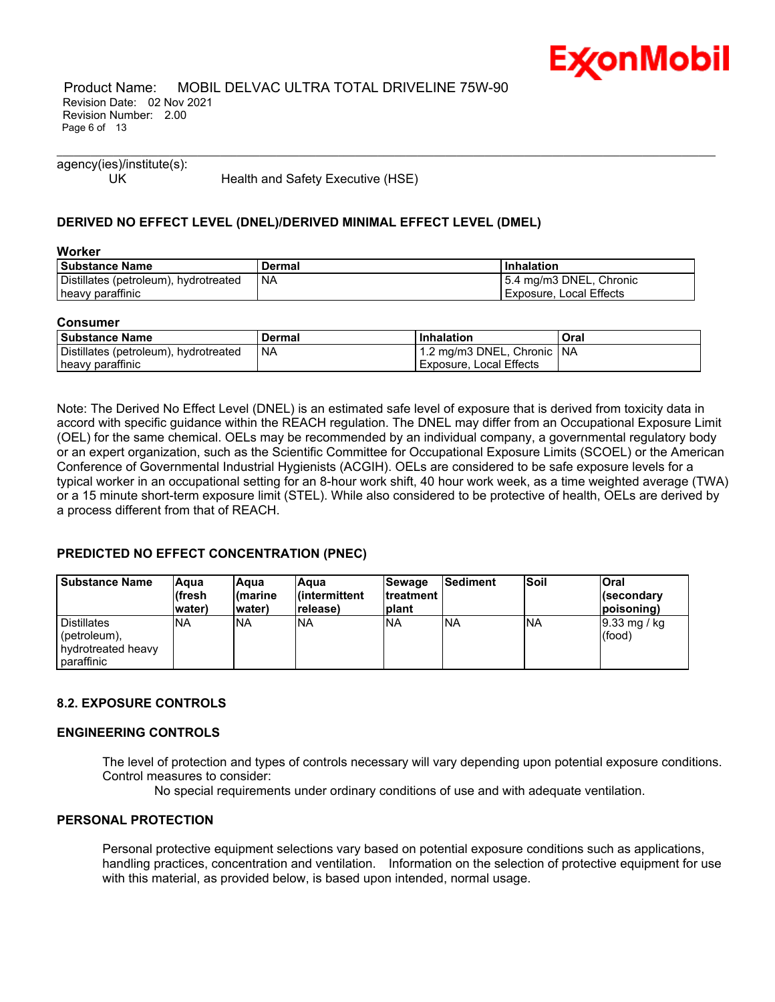

 Product Name: MOBIL DELVAC ULTRA TOTAL DRIVELINE 75W-90 Revision Date: 02 Nov 2021 Revision Number: 2.00 Page 6 of 13

agency(ies)/institute(s):

UK Health and Safety Executive (HSE)

# **DERIVED NO EFFECT LEVEL (DNEL)/DERIVED MINIMAL EFFECT LEVEL (DMEL)**

#### **Worker**

| <b>Substance Name</b>                 | Dermal | Inhalation              |
|---------------------------------------|--------|-------------------------|
| Distillates (petroleum), hydrotreated | 'NA    | 5.4 mg/m3 DNEL, Chronic |
| heavy paraffinic                      |        | Exposure, Local Effects |

\_\_\_\_\_\_\_\_\_\_\_\_\_\_\_\_\_\_\_\_\_\_\_\_\_\_\_\_\_\_\_\_\_\_\_\_\_\_\_\_\_\_\_\_\_\_\_\_\_\_\_\_\_\_\_\_\_\_\_\_\_\_\_\_\_\_\_\_\_\_\_\_\_\_\_\_\_\_\_\_\_\_\_\_\_\_\_\_\_\_\_\_\_\_\_\_\_\_\_\_\_\_\_\_\_\_\_\_\_\_\_\_\_\_\_\_\_

#### **Consumer**

| <b>Substance Name</b>                 | Dermal    | <b>Inhalation</b>            | Oral |
|---------------------------------------|-----------|------------------------------|------|
| Distillates (petroleum), hydrotreated | <b>NA</b> | 1.2 mg/m3 DNEL, Chronic   NA |      |
| heavy paraffinic                      |           | Exposure, Local Effects      |      |

Note: The Derived No Effect Level (DNEL) is an estimated safe level of exposure that is derived from toxicity data in accord with specific guidance within the REACH regulation. The DNEL may differ from an Occupational Exposure Limit (OEL) for the same chemical. OELs may be recommended by an individual company, a governmental regulatory body or an expert organization, such as the Scientific Committee for Occupational Exposure Limits (SCOEL) or the American Conference of Governmental Industrial Hygienists (ACGIH). OELs are considered to be safe exposure levels for a typical worker in an occupational setting for an 8-hour work shift, 40 hour work week, as a time weighted average (TWA) or a 15 minute short-term exposure limit (STEL). While also considered to be protective of health, OELs are derived by a process different from that of REACH.

# **PREDICTED NO EFFECT CONCENTRATION (PNEC)**

| <b>Substance Name</b>                                                        | lAqua<br>lfresh)<br>lwater) | lAqua<br>l(marine<br>water) | Aqua<br>l(intermittent<br>release) | <b>Sewage</b><br><b>Itreatment</b><br>Iplant | lSediment  | <b>Soil</b> | <b>Oral</b><br>l(secondarv<br>(poisoning |
|------------------------------------------------------------------------------|-----------------------------|-----------------------------|------------------------------------|----------------------------------------------|------------|-------------|------------------------------------------|
| <b>Distillates</b><br>$[$ (petroleum),<br>hydrotreated heavy<br>I paraffinic | <b>INA</b>                  | INA                         | <b>NA</b>                          | <b>INA</b>                                   | <b>INA</b> | <b>INA</b>  | 9.33 mg / kg<br>(food)                   |

# **8.2. EXPOSURE CONTROLS**

# **ENGINEERING CONTROLS**

The level of protection and types of controls necessary will vary depending upon potential exposure conditions. Control measures to consider:

No special requirements under ordinary conditions of use and with adequate ventilation.

# **PERSONAL PROTECTION**

Personal protective equipment selections vary based on potential exposure conditions such as applications, handling practices, concentration and ventilation. Information on the selection of protective equipment for use with this material, as provided below, is based upon intended, normal usage.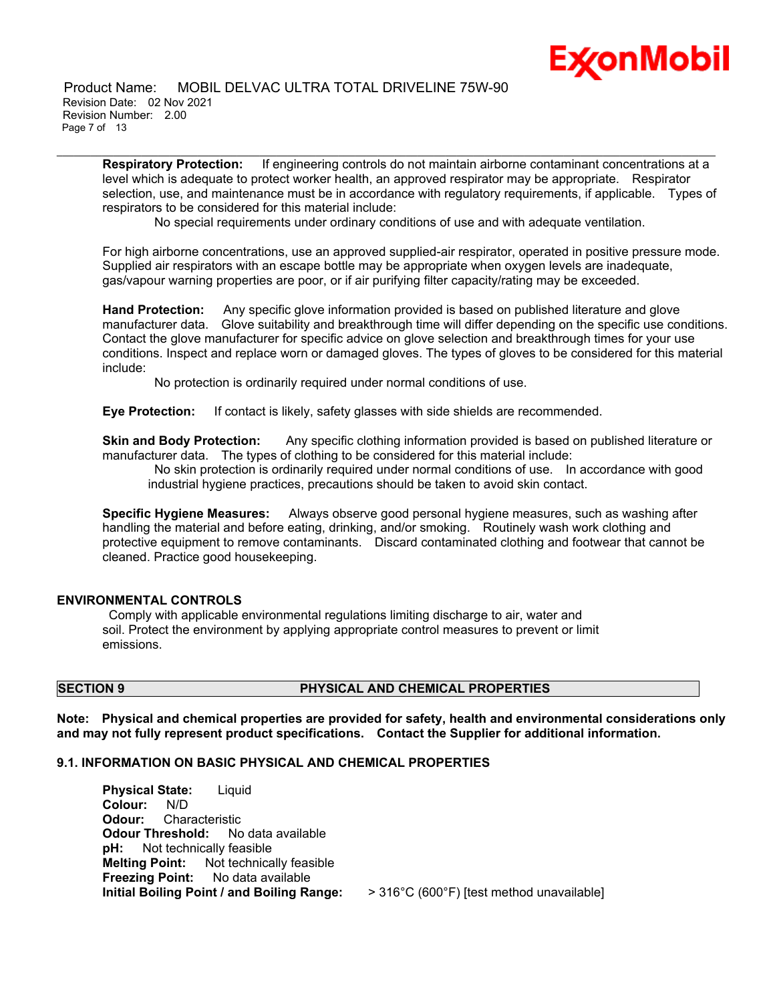

 Product Name: MOBIL DELVAC ULTRA TOTAL DRIVELINE 75W-90 Revision Date: 02 Nov 2021 Revision Number: 2.00 Page 7 of 13

**Respiratory Protection:** If engineering controls do not maintain airborne contaminant concentrations at a level which is adequate to protect worker health, an approved respirator may be appropriate. Respirator selection, use, and maintenance must be in accordance with regulatory requirements, if applicable. Types of respirators to be considered for this material include:

No special requirements under ordinary conditions of use and with adequate ventilation.

\_\_\_\_\_\_\_\_\_\_\_\_\_\_\_\_\_\_\_\_\_\_\_\_\_\_\_\_\_\_\_\_\_\_\_\_\_\_\_\_\_\_\_\_\_\_\_\_\_\_\_\_\_\_\_\_\_\_\_\_\_\_\_\_\_\_\_\_\_\_\_\_\_\_\_\_\_\_\_\_\_\_\_\_\_\_\_\_\_\_\_\_\_\_\_\_\_\_\_\_\_\_\_\_\_\_\_\_\_\_\_\_\_\_\_\_\_

For high airborne concentrations, use an approved supplied-air respirator, operated in positive pressure mode. Supplied air respirators with an escape bottle may be appropriate when oxygen levels are inadequate. gas/vapour warning properties are poor, or if air purifying filter capacity/rating may be exceeded.

**Hand Protection:** Any specific glove information provided is based on published literature and glove manufacturer data. Glove suitability and breakthrough time will differ depending on the specific use conditions. Contact the glove manufacturer for specific advice on glove selection and breakthrough times for your use conditions. Inspect and replace worn or damaged gloves. The types of gloves to be considered for this material include:

No protection is ordinarily required under normal conditions of use.

**Eye Protection:** If contact is likely, safety glasses with side shields are recommended.

**Skin and Body Protection:** Any specific clothing information provided is based on published literature or manufacturer data. The types of clothing to be considered for this material include:

No skin protection is ordinarily required under normal conditions of use. In accordance with good industrial hygiene practices, precautions should be taken to avoid skin contact.

**Specific Hygiene Measures:** Always observe good personal hygiene measures, such as washing after handling the material and before eating, drinking, and/or smoking. Routinely wash work clothing and protective equipment to remove contaminants. Discard contaminated clothing and footwear that cannot be cleaned. Practice good housekeeping.

# **ENVIRONMENTAL CONTROLS**

Comply with applicable environmental regulations limiting discharge to air, water and soil. Protect the environment by applying appropriate control measures to prevent or limit emissions.

# **SECTION 9 PHYSICAL AND CHEMICAL PROPERTIES**

**Note: Physical and chemical properties are provided for safety, health and environmental considerations only and may not fully represent product specifications. Contact the Supplier for additional information.**

#### **9.1. INFORMATION ON BASIC PHYSICAL AND CHEMICAL PROPERTIES**

**Physical State:** Liquid **Colour:** N/D **Odour:** Characteristic **Odour Threshold:** No data available **pH:** Not technically feasible **Melting Point:** Not technically feasible **Freezing Point:** No data available **Initial Boiling Point / and Boiling Range:** > 316°C (600°F) [test method unavailable]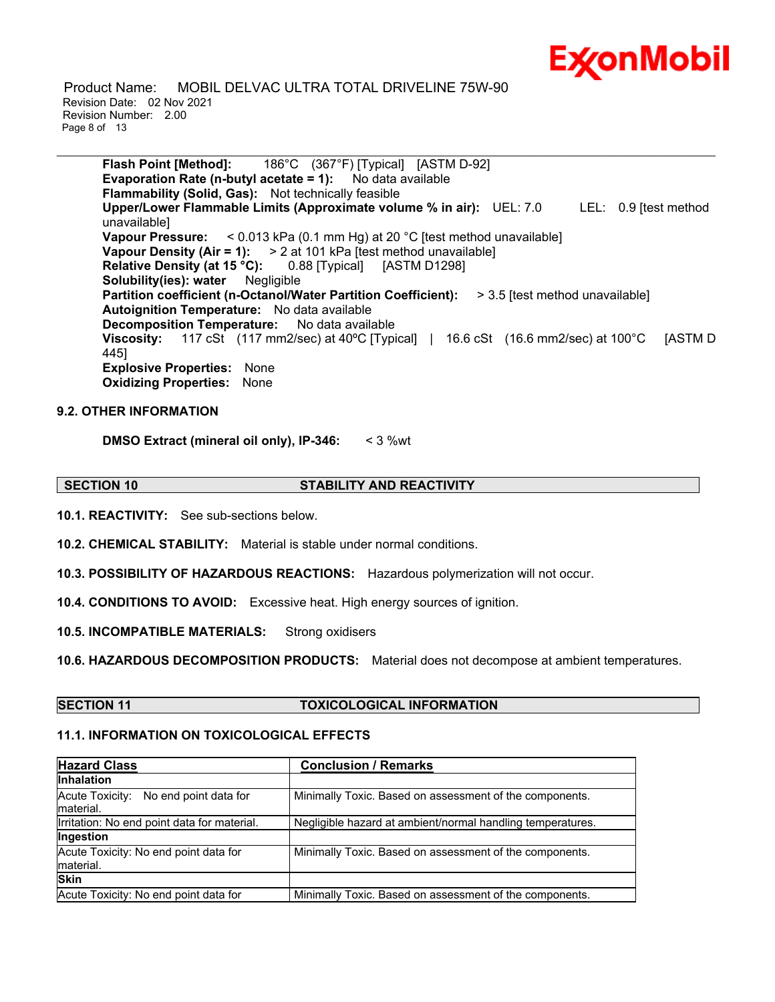

 Product Name: MOBIL DELVAC ULTRA TOTAL DRIVELINE 75W-90 Revision Date: 02 Nov 2021 Revision Number: 2.00 Page 8 of 13

**Flash Point [Method]:** 186°C (367°F) [Typical] [ASTM D-92] **Evaporation Rate (n-butyl acetate = 1):** No data available **Flammability (Solid, Gas):** Not technically feasible **Upper/Lower Flammable Limits (Approximate volume % in air):** UEL: 7.0 LEL: 0.9 [test method unavailable] **Vapour Pressure:** < 0.013 kPa (0.1 mm Hg) at 20 °C [test method unavailable] **Vapour Density (Air = 1):** > 2 at 101 kPa [test method unavailable] **Relative Density (at 15 °C):** 0.88 [Typical] [ASTM D1298] **Solubility(ies): water** Negligible **Partition coefficient (n-Octanol/Water Partition Coefficient):** > 3.5 [test method unavailable] **Autoignition Temperature:** No data available **Decomposition Temperature:** No data available **Viscosity:** 117 cSt (117 mm2/sec) at 40ºC [Typical] | 16.6 cSt (16.6 mm2/sec) at 100°C [ASTM D 445] **Explosive Properties:** None **Oxidizing Properties:** None

\_\_\_\_\_\_\_\_\_\_\_\_\_\_\_\_\_\_\_\_\_\_\_\_\_\_\_\_\_\_\_\_\_\_\_\_\_\_\_\_\_\_\_\_\_\_\_\_\_\_\_\_\_\_\_\_\_\_\_\_\_\_\_\_\_\_\_\_\_\_\_\_\_\_\_\_\_\_\_\_\_\_\_\_\_\_\_\_\_\_\_\_\_\_\_\_\_\_\_\_\_\_\_\_\_\_\_\_\_\_\_\_\_\_\_\_\_

#### **9.2. OTHER INFORMATION**

**DMSO Extract (mineral oil only), IP-346:** < 3 %wt

#### **SECTION 10 STABILITY AND REACTIVITY**

**10.1. REACTIVITY:** See sub-sections below.

**10.2. CHEMICAL STABILITY:** Material is stable under normal conditions.

**10.3. POSSIBILITY OF HAZARDOUS REACTIONS:** Hazardous polymerization will not occur.

**10.4. CONDITIONS TO AVOID:** Excessive heat. High energy sources of ignition.

**10.5. INCOMPATIBLE MATERIALS:** Strong oxidisers

**10.6. HAZARDOUS DECOMPOSITION PRODUCTS:** Material does not decompose at ambient temperatures.

# **SECTION 11 TOXICOLOGICAL INFORMATION**

#### **11.1. INFORMATION ON TOXICOLOGICAL EFFECTS**

| <b>Hazard Class</b>                                 | <b>Conclusion / Remarks</b>                                |
|-----------------------------------------------------|------------------------------------------------------------|
| <b>Inhalation</b>                                   |                                                            |
| Acute Toxicity: No end point data for<br>Imaterial. | Minimally Toxic. Based on assessment of the components.    |
| Irritation: No end point data for material.         | Negligible hazard at ambient/normal handling temperatures. |
| Ingestion                                           |                                                            |
| Acute Toxicity: No end point data for               | Minimally Toxic. Based on assessment of the components.    |
| material.                                           |                                                            |
| <b>Skin</b>                                         |                                                            |
| Acute Toxicity: No end point data for               | Minimally Toxic. Based on assessment of the components.    |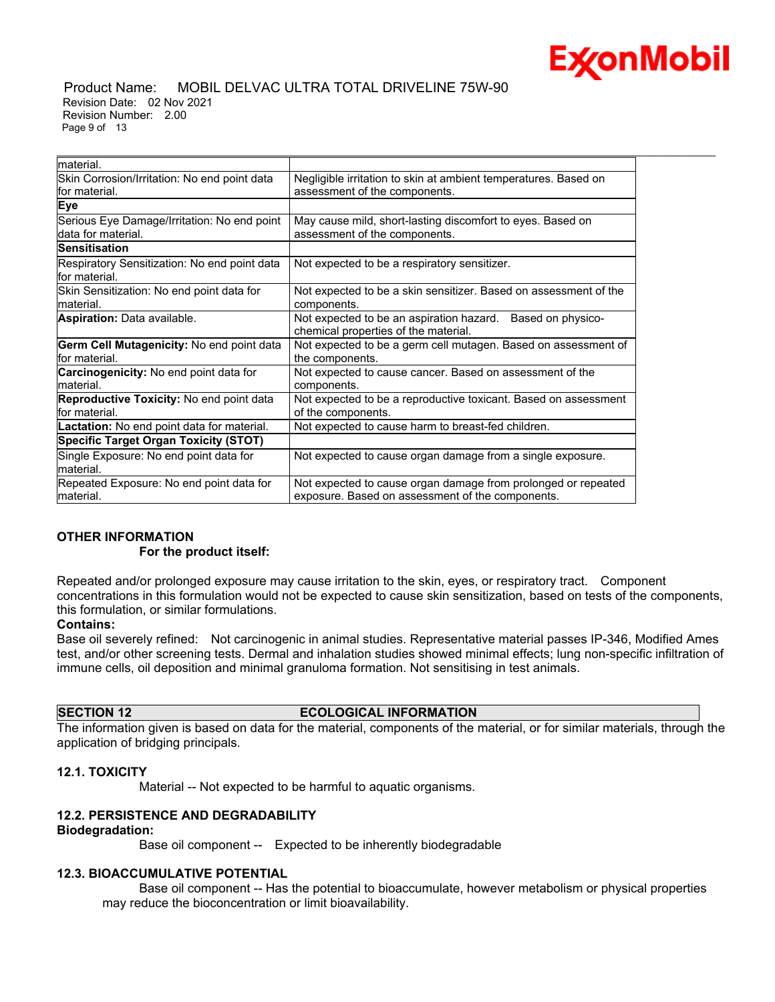

#### Product Name: MOBIL DELVAC ULTRA TOTAL DRIVELINE 75W-90 Revision Date: 02 Nov 2021 Revision Number: 2.00 Page 9 of 13

| material.                                         |                                                                                                    |
|---------------------------------------------------|----------------------------------------------------------------------------------------------------|
| Skin Corrosion/Irritation: No end point data      | Negligible irritation to skin at ambient temperatures. Based on                                    |
| lfor material.                                    | assessment of the components.                                                                      |
| Eye                                               |                                                                                                    |
| Serious Eye Damage/Irritation: No end point       | May cause mild, short-lasting discomfort to eyes. Based on                                         |
| ldata for material.                               | assessment of the components.                                                                      |
| <b>Sensitisation</b>                              |                                                                                                    |
| Respiratory Sensitization: No end point data      | Not expected to be a respiratory sensitizer.                                                       |
| for material.                                     |                                                                                                    |
| Skin Sensitization: No end point data for         | Not expected to be a skin sensitizer. Based on assessment of the                                   |
| lmaterial.                                        | components.                                                                                        |
| <b>Aspiration: Data available.</b>                | Not expected to be an aspiration hazard. Based on physico-<br>chemical properties of the material. |
| <b>Germ Cell Mutagenicity: No end point data</b>  | Not expected to be a germ cell mutagen. Based on assessment of                                     |
| lfor material.                                    | the components.                                                                                    |
| <b>Carcinogenicity:</b> No end point data for     | Not expected to cause cancer. Based on assessment of the                                           |
| lmaterial.                                        | components.                                                                                        |
| Reproductive Toxicity: No end point data          | Not expected to be a reproductive toxicant. Based on assessment                                    |
| lfor material.                                    | of the components.                                                                                 |
| <b>Lactation:</b> No end point data for material. | Not expected to cause harm to breast-fed children.                                                 |
| <b>Specific Target Organ Toxicity (STOT)</b>      |                                                                                                    |
| Single Exposure: No end point data for            | Not expected to cause organ damage from a single exposure.                                         |
| material.                                         |                                                                                                    |
| Repeated Exposure: No end point data for          | Not expected to cause organ damage from prolonged or repeated                                      |
| material.                                         | exposure. Based on assessment of the components.                                                   |

\_\_\_\_\_\_\_\_\_\_\_\_\_\_\_\_\_\_\_\_\_\_\_\_\_\_\_\_\_\_\_\_\_\_\_\_\_\_\_\_\_\_\_\_\_\_\_\_\_\_\_\_\_\_\_\_\_\_\_\_\_\_\_\_\_\_\_\_\_\_\_\_\_\_\_\_\_\_\_\_\_\_\_\_\_\_\_\_\_\_\_\_\_\_\_\_\_\_\_\_\_\_\_\_\_\_\_\_\_\_\_\_\_\_\_\_\_

# **OTHER INFORMATION**

# **For the product itself:**

Repeated and/or prolonged exposure may cause irritation to the skin, eyes, or respiratory tract. Component concentrations in this formulation would not be expected to cause skin sensitization, based on tests of the components, this formulation, or similar formulations.

#### **Contains:**

Base oil severely refined: Not carcinogenic in animal studies. Representative material passes IP-346, Modified Ames test, and/or other screening tests. Dermal and inhalation studies showed minimal effects; lung non-specific infiltration of immune cells, oil deposition and minimal granuloma formation. Not sensitising in test animals.

# **SECTION 12 ECOLOGICAL INFORMATION**

The information given is based on data for the material, components of the material, or for similar materials, through the application of bridging principals.

# **12.1. TOXICITY**

Material -- Not expected to be harmful to aquatic organisms.

# **12.2. PERSISTENCE AND DEGRADABILITY**

# **Biodegradation:**

Base oil component -- Expected to be inherently biodegradable

# **12.3. BIOACCUMULATIVE POTENTIAL**

 Base oil component -- Has the potential to bioaccumulate, however metabolism or physical properties may reduce the bioconcentration or limit bioavailability.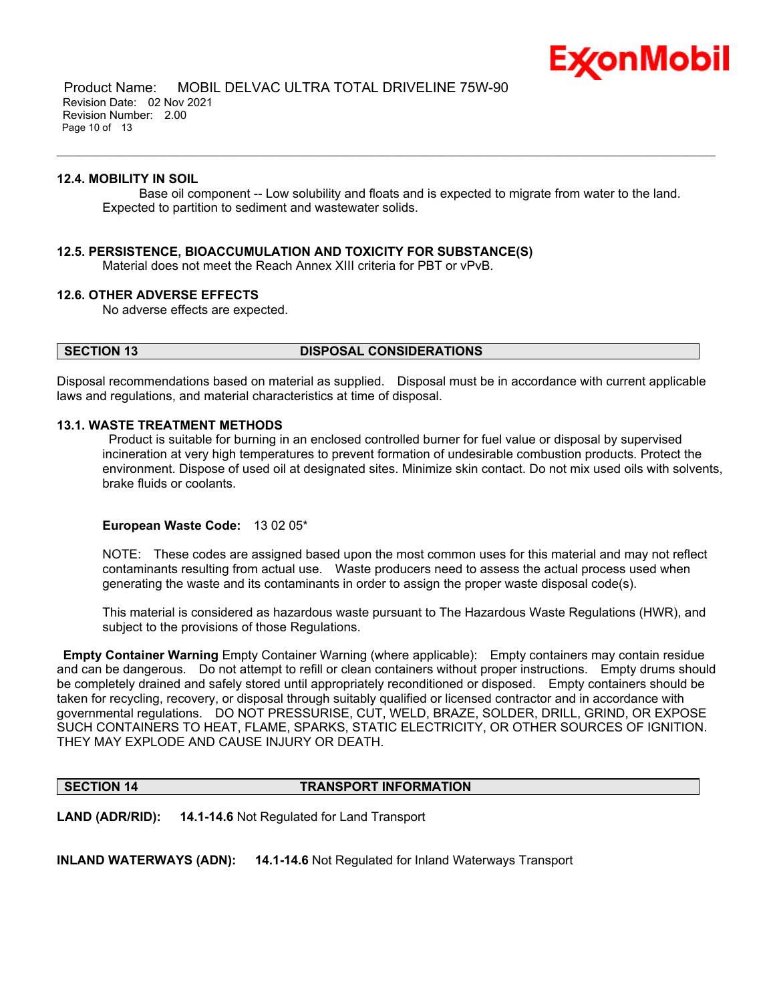

 Product Name: MOBIL DELVAC ULTRA TOTAL DRIVELINE 75W-90 Revision Date: 02 Nov 2021 Revision Number: 2.00 Page 10 of 13

#### **12.4. MOBILITY IN SOIL**

 Base oil component -- Low solubility and floats and is expected to migrate from water to the land. Expected to partition to sediment and wastewater solids.

\_\_\_\_\_\_\_\_\_\_\_\_\_\_\_\_\_\_\_\_\_\_\_\_\_\_\_\_\_\_\_\_\_\_\_\_\_\_\_\_\_\_\_\_\_\_\_\_\_\_\_\_\_\_\_\_\_\_\_\_\_\_\_\_\_\_\_\_\_\_\_\_\_\_\_\_\_\_\_\_\_\_\_\_\_\_\_\_\_\_\_\_\_\_\_\_\_\_\_\_\_\_\_\_\_\_\_\_\_\_\_\_\_\_\_\_\_

#### **12.5. PERSISTENCE, BIOACCUMULATION AND TOXICITY FOR SUBSTANCE(S)**

Material does not meet the Reach Annex XIII criteria for PBT or vPvB.

#### **12.6. OTHER ADVERSE EFFECTS**

No adverse effects are expected.

# **SECTION 13 DISPOSAL CONSIDERATIONS**

Disposal recommendations based on material as supplied. Disposal must be in accordance with current applicable laws and regulations, and material characteristics at time of disposal.

#### **13.1. WASTE TREATMENT METHODS**

Product is suitable for burning in an enclosed controlled burner for fuel value or disposal by supervised incineration at very high temperatures to prevent formation of undesirable combustion products. Protect the environment. Dispose of used oil at designated sites. Minimize skin contact. Do not mix used oils with solvents, brake fluids or coolants.

#### **European Waste Code:** 13 02 05\*

NOTE: These codes are assigned based upon the most common uses for this material and may not reflect contaminants resulting from actual use. Waste producers need to assess the actual process used when generating the waste and its contaminants in order to assign the proper waste disposal code(s).

This material is considered as hazardous waste pursuant to The Hazardous Waste Regulations (HWR), and subject to the provisions of those Regulations.

**Empty Container Warning** Empty Container Warning (where applicable): Empty containers may contain residue and can be dangerous. Do not attempt to refill or clean containers without proper instructions. Empty drums should be completely drained and safely stored until appropriately reconditioned or disposed. Empty containers should be taken for recycling, recovery, or disposal through suitably qualified or licensed contractor and in accordance with governmental regulations. DO NOT PRESSURISE, CUT, WELD, BRAZE, SOLDER, DRILL, GRIND, OR EXPOSE SUCH CONTAINERS TO HEAT, FLAME, SPARKS, STATIC ELECTRICITY, OR OTHER SOURCES OF IGNITION. THEY MAY EXPLODE AND CAUSE INJURY OR DEATH.

# **SECTION 14 TRANSPORT INFORMATION**

**LAND (ADR/RID): 14.1-14.6** Not Regulated for Land Transport

**INLAND WATERWAYS (ADN): 14.1-14.6** Not Regulated for Inland Waterways Transport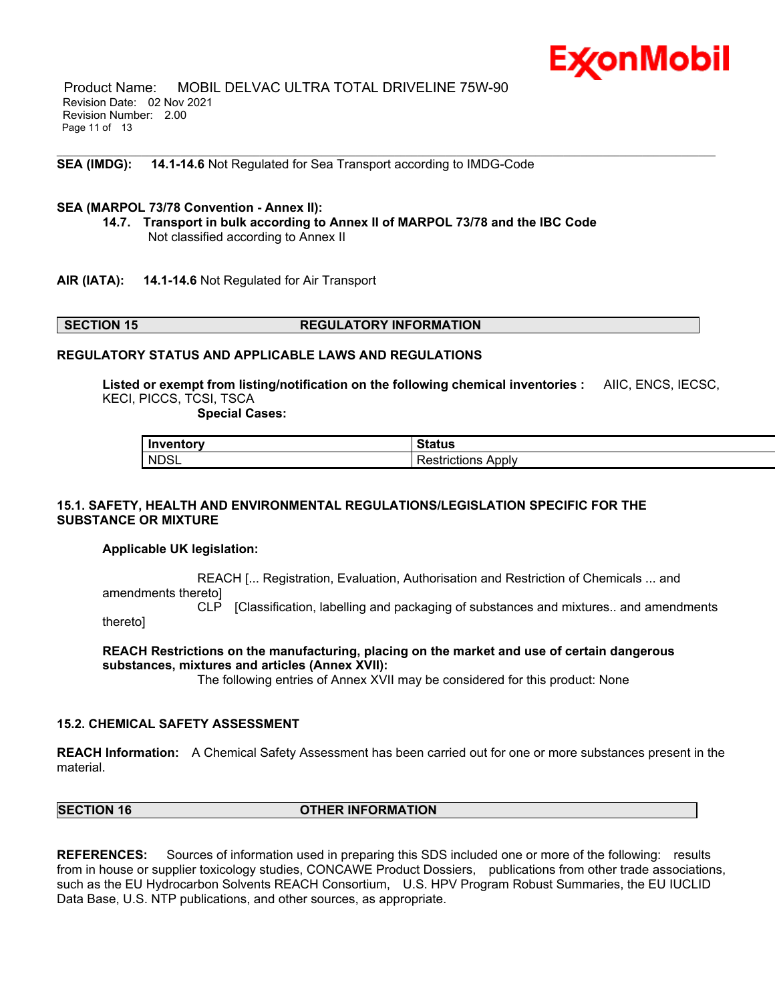

 Product Name: MOBIL DELVAC ULTRA TOTAL DRIVELINE 75W-90 Revision Date: 02 Nov 2021 Revision Number: 2.00 Page 11 of 13

**SEA (IMDG): 14.1-14.6** Not Regulated for Sea Transport according to IMDG-Code

#### **SEA (MARPOL 73/78 Convention - Annex II):**

**14.7. Transport in bulk according to Annex II of MARPOL 73/78 and the IBC Code** Not classified according to Annex II

\_\_\_\_\_\_\_\_\_\_\_\_\_\_\_\_\_\_\_\_\_\_\_\_\_\_\_\_\_\_\_\_\_\_\_\_\_\_\_\_\_\_\_\_\_\_\_\_\_\_\_\_\_\_\_\_\_\_\_\_\_\_\_\_\_\_\_\_\_\_\_\_\_\_\_\_\_\_\_\_\_\_\_\_\_\_\_\_\_\_\_\_\_\_\_\_\_\_\_\_\_\_\_\_\_\_\_\_\_\_\_\_\_\_\_\_\_

**AIR (IATA): 14.1-14.6** Not Regulated for Air Transport

#### **SECTION 15 REGULATORY INFORMATION**

# **REGULATORY STATUS AND APPLICABLE LAWS AND REGULATIONS**

**Listed or exempt from listing/notification on the following chemical inventories :** AIIC, ENCS, IECSC, KECI, PICCS, TCSI, TSCA

 **Special Cases:**

| Inventory         | $\sim$ $\sim$ $\sim$ $\sim$ $\sim$ $\sim$ $\sim$<br>วเαเนะ |
|-------------------|------------------------------------------------------------|
| NDSL <sup>'</sup> | Apply<br>.<br>estrictions                                  |

# **15.1. SAFETY, HEALTH AND ENVIRONMENTAL REGULATIONS/LEGISLATION SPECIFIC FOR THE SUBSTANCE OR MIXTURE**

#### **Applicable UK legislation:**

 REACH [... Registration, Evaluation, Authorisation and Restriction of Chemicals ... and amendments thereto]

 CLP [Classification, labelling and packaging of substances and mixtures.. and amendments thereto]

#### **REACH Restrictions on the manufacturing, placing on the market and use of certain dangerous substances, mixtures and articles (Annex XVII):**

The following entries of Annex XVII may be considered for this product: None

# **15.2. CHEMICAL SAFETY ASSESSMENT**

**REACH Information:** A Chemical Safety Assessment has been carried out for one or more substances present in the material.

# **SECTION 16 OTHER INFORMATION**

**REFERENCES:** Sources of information used in preparing this SDS included one or more of the following: results from in house or supplier toxicology studies, CONCAWE Product Dossiers, publications from other trade associations, such as the EU Hydrocarbon Solvents REACH Consortium, U.S. HPV Program Robust Summaries, the EU IUCLID Data Base, U.S. NTP publications, and other sources, as appropriate.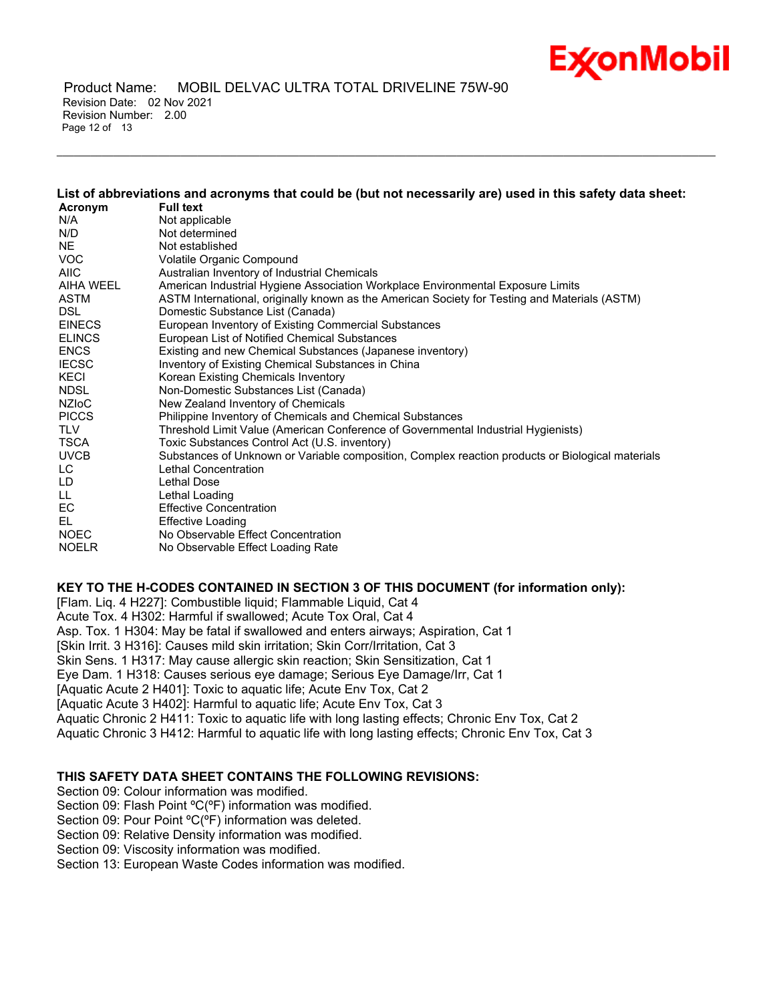

 Product Name: MOBIL DELVAC ULTRA TOTAL DRIVELINE 75W-90 Revision Date: 02 Nov 2021 Revision Number: 2.00 Page 12 of 13

List of abbreviations and acronyms that could be (but not necessarily are) used in this safety data sheet: **Acronym Full text** N/A Not applicable N/D Not determined NE Not established VOC Volatile Organic Compound AIIC Australian Inventory of Industrial Chemicals AIHA WEEL American Industrial Hygiene Association Workplace Environmental Exposure Limits ASTM ASTM International, originally known as the American Society for Testing and Materials (ASTM)<br>DSI Domestic Substance List (Canada) Domestic Substance List (Canada) EINECS European Inventory of Existing Commercial Substances ELINCS European List of Notified Chemical Substances ENCS Existing and new Chemical Substances (Japanese inventory) IECSC Inventory of Existing Chemical Substances in China KECI Korean Existing Chemicals Inventory NDSL Non-Domestic Substances List (Canada) NZIoC New Zealand Inventory of Chemicals PICCS Philippine Inventory of Chemicals and Chemical Substances TLV Threshold Limit Value (American Conference of Governmental Industrial Hygienists) TSCA Toxic Substances Control Act (U.S. inventory) UVCB Substances of Unknown or Variable composition, Complex reaction products or Biological materials LC Lethal Concentration LD Lethal Dose LL Lethal Loading EC Effective Concentration EL Effective Loading NOEC No Observable Effect Concentration NOELR No Observable Effect Loading Rate

\_\_\_\_\_\_\_\_\_\_\_\_\_\_\_\_\_\_\_\_\_\_\_\_\_\_\_\_\_\_\_\_\_\_\_\_\_\_\_\_\_\_\_\_\_\_\_\_\_\_\_\_\_\_\_\_\_\_\_\_\_\_\_\_\_\_\_\_\_\_\_\_\_\_\_\_\_\_\_\_\_\_\_\_\_\_\_\_\_\_\_\_\_\_\_\_\_\_\_\_\_\_\_\_\_\_\_\_\_\_\_\_\_\_\_\_\_

**KEY TO THE H-CODES CONTAINED IN SECTION 3 OF THIS DOCUMENT (for information only):**

[Flam. Liq. 4 H227]: Combustible liquid; Flammable Liquid, Cat 4 Acute Tox. 4 H302: Harmful if swallowed; Acute Tox Oral, Cat 4 Asp. Tox. 1 H304: May be fatal if swallowed and enters airways; Aspiration, Cat 1 [Skin Irrit. 3 H316]: Causes mild skin irritation; Skin Corr/Irritation, Cat 3 Skin Sens. 1 H317: May cause allergic skin reaction; Skin Sensitization, Cat 1 Eye Dam. 1 H318: Causes serious eye damage; Serious Eye Damage/Irr, Cat 1 [Aquatic Acute 2 H401]: Toxic to aquatic life; Acute Env Tox, Cat 2 [Aquatic Acute 3 H402]: Harmful to aquatic life; Acute Env Tox, Cat 3 Aquatic Chronic 2 H411: Toxic to aquatic life with long lasting effects; Chronic Env Tox, Cat 2 Aquatic Chronic 3 H412: Harmful to aquatic life with long lasting effects; Chronic Env Tox, Cat 3

# **THIS SAFETY DATA SHEET CONTAINS THE FOLLOWING REVISIONS:**

Section 09: Colour information was modified.

Section 09: Flash Point °C(°F) information was modified.

Section 09: Pour Point °C(°F) information was deleted.

Section 09: Relative Density information was modified.

Section 09: Viscosity information was modified.

Section 13: European Waste Codes information was modified.